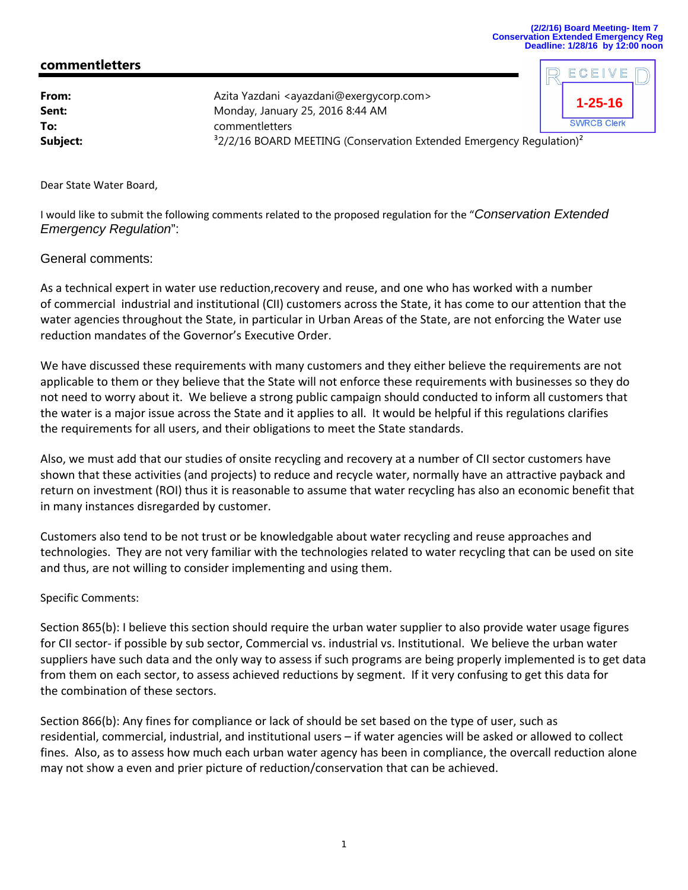ECEIV

## **commentletters**

| From:<br>Sent:<br>To: | Azita Yazdani <ayazdani@exergycorp.com><br/>Monday, January 25, 2016 8:44 AM</ayazdani@exergycorp.com> | $1 - 25 - 16$<br><b>SWRCB Clerk</b> |  |
|-----------------------|--------------------------------------------------------------------------------------------------------|-------------------------------------|--|
| Subject:              | commentletters<br>$32/2/16$ BOARD MEETING (Conservation Extended Emergency Regulation) <sup>2</sup>    |                                     |  |

Dear State Water Board,

I would like to submit the following comments related to the proposed regulation for the "*Conservation Extended Emergency Regulation*":

## General comments:

As a technical expert in water use reduction,recovery and reuse, and one who has worked with a number of commercial industrial and institutional (CII) customers across the State, it has come to our attention that the water agencies throughout the State, in particular in Urban Areas of the State, are not enforcing the Water use reduction mandates of the Governor's Executive Order.

We have discussed these requirements with many customers and they either believe the requirements are not applicable to them or they believe that the State will not enforce these requirements with businesses so they do not need to worry about it. We believe a strong public campaign should conducted to inform all customers that the water is a major issue across the State and it applies to all. It would be helpful if this regulations clarifies the requirements for all users, and their obligations to meet the State standards.

Also, we must add that our studies of onsite recycling and recovery at a number of CII sector customers have shown that these activities (and projects) to reduce and recycle water, normally have an attractive payback and return on investment (ROI) thus it is reasonable to assume that water recycling has also an economic benefit that in many instances disregarded by customer.

Customers also tend to be not trust or be knowledgable about water recycling and reuse approaches and technologies. They are not very familiar with the technologies related to water recycling that can be used on site and thus, are not willing to consider implementing and using them.

## Specific Comments:

Section 865(b): I believe this section should require the urban water supplier to also provide water usage figures for CII sector- if possible by sub sector, Commercial vs. industrial vs. Institutional. We believe the urban water suppliers have such data and the only way to assess if such programs are being properly implemented is to get data from them on each sector, to assess achieved reductions by segment. If it very confusing to get this data for the combination of these sectors.

Section 866(b): Any fines for compliance or lack of should be set based on the type of user, such as residential, commercial, industrial, and institutional users – if water agencies will be asked or allowed to collect fines. Also, as to assess how much each urban water agency has been in compliance, the overcall reduction alone may not show a even and prier picture of reduction/conservation that can be achieved.